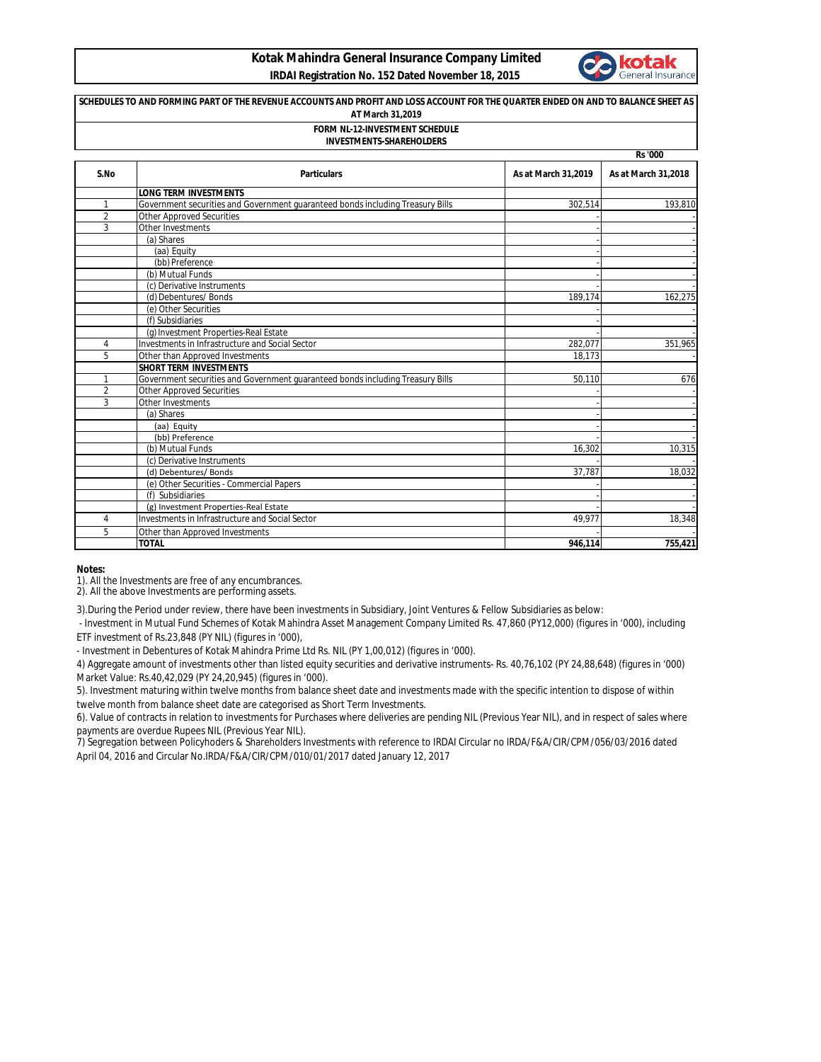## **Kotak Mahindra General Insurance Company Limited IRDAI Registration No. 152 Dated November 18, 2015**



| SCHEDULES TO AND FORMING PART OF THE REVENUE ACCOUNTS AND PROFIT AND LOSS ACCOUNT FOR THE QUARTER ENDED ON AND TO BALANCE SHEET AS<br>AT March 31,2019<br><b>FORM NL-12-INVESTMENT SCHEDULE</b> |                                                                                |                     |                     |  |  |
|-------------------------------------------------------------------------------------------------------------------------------------------------------------------------------------------------|--------------------------------------------------------------------------------|---------------------|---------------------|--|--|
|                                                                                                                                                                                                 |                                                                                |                     |                     |  |  |
|                                                                                                                                                                                                 |                                                                                |                     | <b>Rs '000</b>      |  |  |
| S.No                                                                                                                                                                                            | <b>Particulars</b>                                                             | As at March 31,2019 | As at March 31,2018 |  |  |
|                                                                                                                                                                                                 | <b>LONG TERM INVESTMENTS</b>                                                   |                     |                     |  |  |
| $\mathbf{1}$                                                                                                                                                                                    | Government securities and Government quaranteed bonds including Treasury Bills | 302,514             | 193,810             |  |  |
| $\overline{2}$                                                                                                                                                                                  | <b>Other Approved Securities</b>                                               |                     |                     |  |  |
| 3                                                                                                                                                                                               | Other Investments                                                              |                     |                     |  |  |
|                                                                                                                                                                                                 | (a) Shares                                                                     |                     |                     |  |  |
|                                                                                                                                                                                                 | (aa) Equity                                                                    |                     |                     |  |  |
|                                                                                                                                                                                                 | (bb) Preference                                                                |                     |                     |  |  |
|                                                                                                                                                                                                 | (b) Mutual Funds                                                               |                     |                     |  |  |
|                                                                                                                                                                                                 | (c) Derivative Instruments                                                     |                     |                     |  |  |
|                                                                                                                                                                                                 | (d) Debentures/ Bonds                                                          | 189.174             | 162,275             |  |  |
|                                                                                                                                                                                                 | (e) Other Securities                                                           |                     |                     |  |  |
|                                                                                                                                                                                                 | (f) Subsidiaries                                                               |                     |                     |  |  |
|                                                                                                                                                                                                 | (g) Investment Properties-Real Estate                                          |                     |                     |  |  |
| 4                                                                                                                                                                                               | Investments in Infrastructure and Social Sector                                | 282,077             | 351,965             |  |  |
| 5                                                                                                                                                                                               | Other than Approved Investments                                                | 18.173              |                     |  |  |
|                                                                                                                                                                                                 | <b>SHORT TERM INVESTMENTS</b>                                                  |                     |                     |  |  |
| 1                                                                                                                                                                                               | Government securities and Government guaranteed bonds including Treasury Bills | 50,110              | 676                 |  |  |
| $\overline{2}$                                                                                                                                                                                  | <b>Other Approved Securities</b>                                               |                     |                     |  |  |
| 3                                                                                                                                                                                               | Other Investments                                                              |                     |                     |  |  |
|                                                                                                                                                                                                 | (a) Shares                                                                     |                     |                     |  |  |
|                                                                                                                                                                                                 | (aa) Equity                                                                    |                     |                     |  |  |
|                                                                                                                                                                                                 | (bb) Preference                                                                |                     |                     |  |  |
|                                                                                                                                                                                                 | (b) Mutual Funds                                                               | 16,302              | 10,315              |  |  |
|                                                                                                                                                                                                 | (c) Derivative Instruments                                                     |                     |                     |  |  |
|                                                                                                                                                                                                 | (d) Debentures/Bonds                                                           | 37,787              | 18,032              |  |  |
|                                                                                                                                                                                                 | (e) Other Securities - Commercial Papers                                       |                     |                     |  |  |
|                                                                                                                                                                                                 | (f) Subsidiaries                                                               |                     |                     |  |  |
|                                                                                                                                                                                                 | (g) Investment Properties-Real Estate                                          |                     |                     |  |  |
| 4                                                                                                                                                                                               | Investments in Infrastructure and Social Sector                                | 49.977              | 18,348              |  |  |
| 5                                                                                                                                                                                               | Other than Approved Investments                                                |                     |                     |  |  |
|                                                                                                                                                                                                 | <b>TOTAL</b>                                                                   | 946,114             | 755,421             |  |  |

**Notes:**

1). All the Investments are free of any encumbrances.

2). All the above Investments are performing assets.

3).During the Period under review, there have been investments in Subsidiary, Joint Ventures & Fellow Subsidiaries as below:

 - Investment in Mutual Fund Schemes of Kotak Mahindra Asset Management Company Limited Rs. 47,860 (PY12,000) (figures in '000), including ETF investment of Rs.23,848 (PY NIL) (figures in '000),

- Investment in Debentures of Kotak Mahindra Prime Ltd Rs. NIL (PY 1,00,012) (figures in '000).

4) Aggregate amount of investments other than listed equity securities and derivative instruments- Rs. 40,76,102 (PY 24,88,648) (figures in '000) Market Value: Rs.40,42,029 (PY 24,20,945) (figures in '000).

5). Investment maturing within twelve months from balance sheet date and investments made with the specific intention to dispose of within twelve month from balance sheet date are categorised as Short Term Investments.

6). Value of contracts in relation to investments for Purchases where deliveries are pending NIL (Previous Year NIL), and in respect of sales where payments are overdue Rupees NIL (Previous Year NIL).

7) Segregation between Policyhoders & Shareholders Investments with reference to IRDAI Circular no IRDA/F&A/CIR/CPM/056/03/2016 dated April 04, 2016 and Circular No.IRDA/F&A/CIR/CPM/010/01/2017 dated January 12, 2017